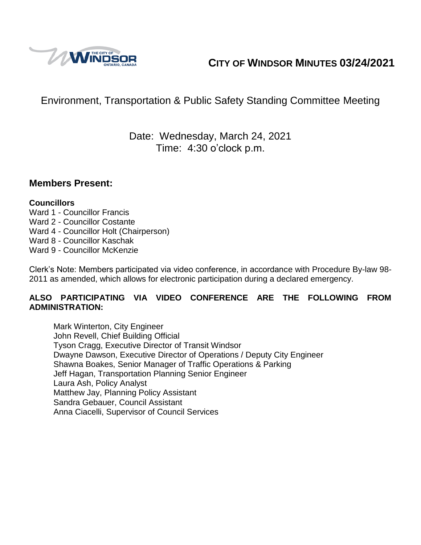

# **CITY OF WINDSOR MINUTES 03/24/2021**

# Environment, Transportation & Public Safety Standing Committee Meeting

# Date: Wednesday, March 24, 2021 Time: 4:30 o'clock p.m.

### **Members Present:**

### **Councillors**

- Ward 1 Councillor Francis
- Ward 2 Councillor Costante
- Ward 4 Councillor Holt (Chairperson)
- Ward 8 Councillor Kaschak
- Ward 9 Councillor McKenzie

Clerk's Note: Members participated via video conference, in accordance with Procedure By-law 98- 2011 as amended, which allows for electronic participation during a declared emergency.

### **ALSO PARTICIPATING VIA VIDEO CONFERENCE ARE THE FOLLOWING FROM ADMINISTRATION:**

Mark Winterton, City Engineer John Revell, Chief Building Official Tyson Cragg, Executive Director of Transit Windsor Dwayne Dawson, Executive Director of Operations / Deputy City Engineer Shawna Boakes, Senior Manager of Traffic Operations & Parking Jeff Hagan, Transportation Planning Senior Engineer Laura Ash, Policy Analyst Matthew Jay, Planning Policy Assistant Sandra Gebauer, Council Assistant Anna Ciacelli, Supervisor of Council Services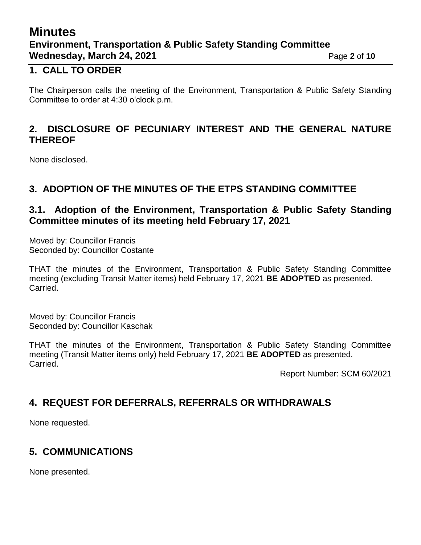# **Minutes Environment, Transportation & Public Safety Standing Committee Wednesday, March 24, 2021 Page 2** of 10

### **1. CALL TO ORDER**

The Chairperson calls the meeting of the Environment, Transportation & Public Safety Standing Committee to order at 4:30 o'clock p.m.

### **2. DISCLOSURE OF PECUNIARY INTEREST AND THE GENERAL NATURE THEREOF**

None disclosed.

### **3. ADOPTION OF THE MINUTES OF THE ETPS STANDING COMMITTEE**

### **3.1. Adoption of the Environment, Transportation & Public Safety Standing Committee minutes of its meeting held February 17, 2021**

Moved by: Councillor Francis Seconded by: Councillor Costante

THAT the minutes of the Environment, Transportation & Public Safety Standing Committee meeting (excluding Transit Matter items) held February 17, 2021 **BE ADOPTED** as presented. Carried.

Moved by: Councillor Francis Seconded by: Councillor Kaschak

THAT the minutes of the Environment, Transportation & Public Safety Standing Committee meeting (Transit Matter items only) held February 17, 2021 **BE ADOPTED** as presented. Carried.

Report Number: SCM 60/2021

# **4. REQUEST FOR DEFERRALS, REFERRALS OR WITHDRAWALS**

None requested.

# **5. COMMUNICATIONS**

None presented.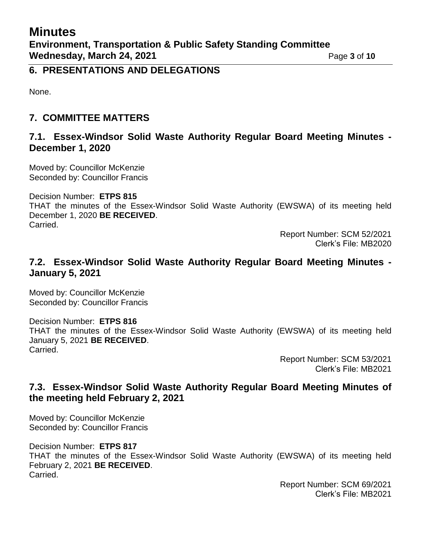### **6. PRESENTATIONS AND DELEGATIONS**

None.

# **7. COMMITTEE MATTERS**

### **7.1. Essex-Windsor Solid Waste Authority Regular Board Meeting Minutes - December 1, 2020**

Moved by: Councillor McKenzie Seconded by: Councillor Francis

Decision Number: **ETPS 815**

THAT the minutes of the Essex-Windsor Solid Waste Authority (EWSWA) of its meeting held December 1, 2020 **BE RECEIVED**. Carried.

> Report Number: SCM 52/2021 Clerk's File: MB2020

### **7.2. Essex-Windsor Solid Waste Authority Regular Board Meeting Minutes - January 5, 2021**

Moved by: Councillor McKenzie Seconded by: Councillor Francis

Decision Number: **ETPS 816** THAT the minutes of the Essex-Windsor Solid Waste Authority (EWSWA) of its meeting held January 5, 2021 **BE RECEIVED**. Carried.

Report Number: SCM 53/2021 Clerk's File: MB2021

# **7.3. Essex-Windsor Solid Waste Authority Regular Board Meeting Minutes of the meeting held February 2, 2021**

Moved by: Councillor McKenzie Seconded by: Councillor Francis

Decision Number: **ETPS 817** THAT the minutes of the Essex-Windsor Solid Waste Authority (EWSWA) of its meeting held February 2, 2021 **BE RECEIVED**. Carried.

Report Number: SCM 69/2021 Clerk's File: MB2021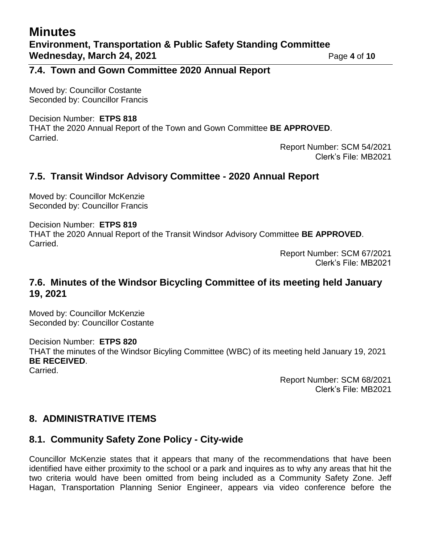### **7.4. Town and Gown Committee 2020 Annual Report**

Moved by: Councillor Costante Seconded by: Councillor Francis

#### Decision Number: **ETPS 818** THAT the 2020 Annual Report of the Town and Gown Committee **BE APPROVED**. Carried.

Report Number: SCM 54/2021 Clerk's File: MB2021

### **7.5. Transit Windsor Advisory Committee - 2020 Annual Report**

Moved by: Councillor McKenzie Seconded by: Councillor Francis

Decision Number: **ETPS 819** THAT the 2020 Annual Report of the Transit Windsor Advisory Committee **BE APPROVED**. Carried.

Report Number: SCM 67/2021 Clerk's File: MB2021

### **7.6. Minutes of the Windsor Bicycling Committee of its meeting held January 19, 2021**

Moved by: Councillor McKenzie Seconded by: Councillor Costante

Decision Number: **ETPS 820** THAT the minutes of the Windsor Bicyling Committee (WBC) of its meeting held January 19, 2021 **BE RECEIVED**. Carried.

> Report Number: SCM 68/2021 Clerk's File: MB2021

### **8. ADMINISTRATIVE ITEMS**

### **8.1. Community Safety Zone Policy - City-wide**

Councillor McKenzie states that it appears that many of the recommendations that have been identified have either proximity to the school or a park and inquires as to why any areas that hit the two criteria would have been omitted from being included as a Community Safety Zone. Jeff Hagan, Transportation Planning Senior Engineer, appears via video conference before the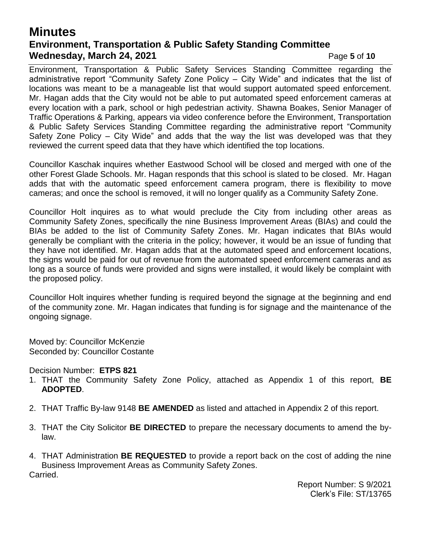# **Minutes Environment, Transportation & Public Safety Standing Committee Wednesday, March 24, 2021 Page 5** of 10

Environment, Transportation & Public Safety Services Standing Committee regarding the administrative report "Community Safety Zone Policy – City Wide" and indicates that the list of locations was meant to be a manageable list that would support automated speed enforcement. Mr. Hagan adds that the City would not be able to put automated speed enforcement cameras at every location with a park, school or high pedestrian activity. Shawna Boakes, Senior Manager of Traffic Operations & Parking, appears via video conference before the Environment, Transportation & Public Safety Services Standing Committee regarding the administrative report "Community Safety Zone Policy – City Wide" and adds that the way the list was developed was that they reviewed the current speed data that they have which identified the top locations.

Councillor Kaschak inquires whether Eastwood School will be closed and merged with one of the other Forest Glade Schools. Mr. Hagan responds that this school is slated to be closed. Mr. Hagan adds that with the automatic speed enforcement camera program, there is flexibility to move cameras; and once the school is removed, it will no longer qualify as a Community Safety Zone.

Councillor Holt inquires as to what would preclude the City from including other areas as Community Safety Zones, specifically the nine Business Improvement Areas (BIAs) and could the BIAs be added to the list of Community Safety Zones. Mr. Hagan indicates that BIAs would generally be compliant with the criteria in the policy; however, it would be an issue of funding that they have not identified. Mr. Hagan adds that at the automated speed and enforcement locations, the signs would be paid for out of revenue from the automated speed enforcement cameras and as long as a source of funds were provided and signs were installed, it would likely be complaint with the proposed policy.

Councillor Holt inquires whether funding is required beyond the signage at the beginning and end of the community zone. Mr. Hagan indicates that funding is for signage and the maintenance of the ongoing signage.

Moved by: Councillor McKenzie Seconded by: Councillor Costante

Decision Number: **ETPS 821**

- 1. THAT the Community Safety Zone Policy, attached as Appendix 1 of this report, **BE ADOPTED**.
- 2. THAT Traffic By-law 9148 **BE AMENDED** as listed and attached in Appendix 2 of this report.
- 3. THAT the City Solicitor **BE DIRECTED** to prepare the necessary documents to amend the bylaw.
- 4. THAT Administration **BE REQUESTED** to provide a report back on the cost of adding the nine Business Improvement Areas as Community Safety Zones. Carried.

Report Number: S 9/2021 Clerk's File: ST/13765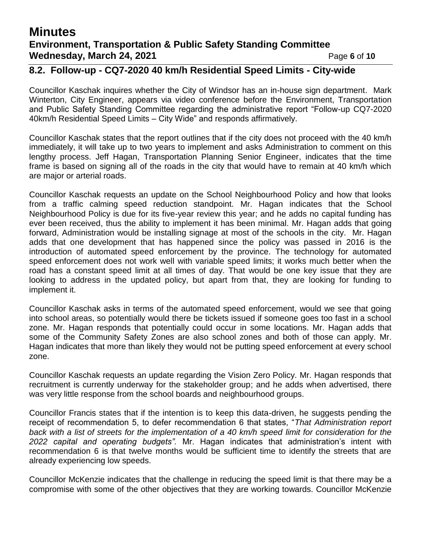# **Minutes Environment, Transportation & Public Safety Standing Committee Wednesday, March 24, 2021 Page 6** of 10

### **8.2. Follow-up - CQ7-2020 40 km/h Residential Speed Limits - City-wide**

Councillor Kaschak inquires whether the City of Windsor has an in-house sign department. Mark Winterton, City Engineer, appears via video conference before the Environment, Transportation and Public Safety Standing Committee regarding the administrative report "Follow-up CQ7-2020 40km/h Residential Speed Limits – City Wide" and responds affirmatively.

Councillor Kaschak states that the report outlines that if the city does not proceed with the 40 km/h immediately, it will take up to two years to implement and asks Administration to comment on this lengthy process. Jeff Hagan, Transportation Planning Senior Engineer, indicates that the time frame is based on signing all of the roads in the city that would have to remain at 40 km/h which are major or arterial roads.

Councillor Kaschak requests an update on the School Neighbourhood Policy and how that looks from a traffic calming speed reduction standpoint. Mr. Hagan indicates that the School Neighbourhood Policy is due for its five-year review this year; and he adds no capital funding has ever been received, thus the ability to implement it has been minimal. Mr. Hagan adds that going forward, Administration would be installing signage at most of the schools in the city. Mr. Hagan adds that one development that has happened since the policy was passed in 2016 is the introduction of automated speed enforcement by the province. The technology for automated speed enforcement does not work well with variable speed limits; it works much better when the road has a constant speed limit at all times of day. That would be one key issue that they are looking to address in the updated policy, but apart from that, they are looking for funding to implement it.

Councillor Kaschak asks in terms of the automated speed enforcement, would we see that going into school areas, so potentially would there be tickets issued if someone goes too fast in a school zone. Mr. Hagan responds that potentially could occur in some locations. Mr. Hagan adds that some of the Community Safety Zones are also school zones and both of those can apply. Mr. Hagan indicates that more than likely they would not be putting speed enforcement at every school zone.

Councillor Kaschak requests an update regarding the Vision Zero Policy. Mr. Hagan responds that recruitment is currently underway for the stakeholder group; and he adds when advertised, there was very little response from the school boards and neighbourhood groups.

Councillor Francis states that if the intention is to keep this data-driven, he suggests pending the receipt of recommendation 5, to defer recommendation 6 that states, "*That Administration report back with a list of streets for the implementation of a 40 km/h speed limit for consideration for the 2022 capital and operating budgets".* Mr. Hagan indicates that administration's intent with recommendation 6 is that twelve months would be sufficient time to identify the streets that are already experiencing low speeds.

Councillor McKenzie indicates that the challenge in reducing the speed limit is that there may be a compromise with some of the other objectives that they are working towards. Councillor McKenzie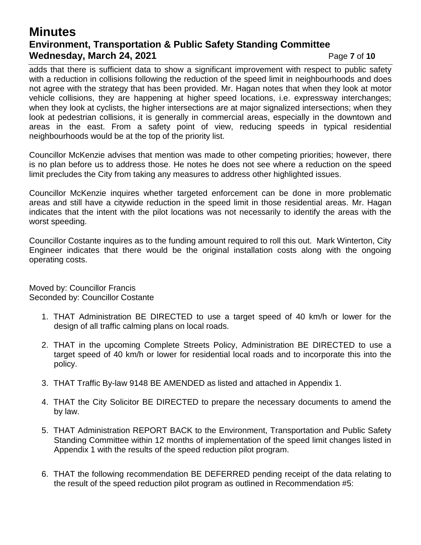# **Minutes Environment, Transportation & Public Safety Standing Committee Wednesday, March 24, 2021 Page 7** of 10

adds that there is sufficient data to show a significant improvement with respect to public safety with a reduction in collisions following the reduction of the speed limit in neighbourhoods and does not agree with the strategy that has been provided. Mr. Hagan notes that when they look at motor vehicle collisions, they are happening at higher speed locations, i.e. expressway interchanges; when they look at cyclists, the higher intersections are at major signalized intersections; when they look at pedestrian collisions, it is generally in commercial areas, especially in the downtown and areas in the east. From a safety point of view, reducing speeds in typical residential neighbourhoods would be at the top of the priority list.

Councillor McKenzie advises that mention was made to other competing priorities; however, there is no plan before us to address those. He notes he does not see where a reduction on the speed limit precludes the City from taking any measures to address other highlighted issues.

Councillor McKenzie inquires whether targeted enforcement can be done in more problematic areas and still have a citywide reduction in the speed limit in those residential areas. Mr. Hagan indicates that the intent with the pilot locations was not necessarily to identify the areas with the worst speeding.

Councillor Costante inquires as to the funding amount required to roll this out. Mark Winterton, City Engineer indicates that there would be the original installation costs along with the ongoing operating costs.

Moved by: Councillor Francis Seconded by: Councillor Costante

- 1. THAT Administration BE DIRECTED to use a target speed of 40 km/h or lower for the design of all traffic calming plans on local roads.
- 2. THAT in the upcoming Complete Streets Policy, Administration BE DIRECTED to use a target speed of 40 km/h or lower for residential local roads and to incorporate this into the policy.
- 3. THAT Traffic By-law 9148 BE AMENDED as listed and attached in Appendix 1.
- 4. THAT the City Solicitor BE DIRECTED to prepare the necessary documents to amend the by law.
- 5. THAT Administration REPORT BACK to the Environment, Transportation and Public Safety Standing Committee within 12 months of implementation of the speed limit changes listed in Appendix 1 with the results of the speed reduction pilot program.
- 6. THAT the following recommendation BE DEFERRED pending receipt of the data relating to the result of the speed reduction pilot program as outlined in Recommendation #5: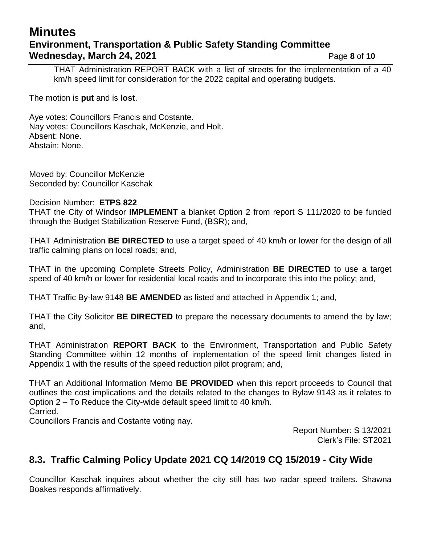# **Minutes Environment, Transportation & Public Safety Standing Committee Wednesday, March 24, 2021 Page 8** of 10

THAT Administration REPORT BACK with a list of streets for the implementation of a 40 km/h speed limit for consideration for the 2022 capital and operating budgets.

The motion is **put** and is **lost**.

Aye votes: Councillors Francis and Costante. Nay votes: Councillors Kaschak, McKenzie, and Holt. Absent: None. Abstain: None.

Moved by: Councillor McKenzie Seconded by: Councillor Kaschak

Decision Number: **ETPS 822**

THAT the City of Windsor **IMPLEMENT** a blanket Option 2 from report S 111/2020 to be funded through the Budget Stabilization Reserve Fund, (BSR); and,

THAT Administration **BE DIRECTED** to use a target speed of 40 km/h or lower for the design of all traffic calming plans on local roads; and,

THAT in the upcoming Complete Streets Policy, Administration **BE DIRECTED** to use a target speed of 40 km/h or lower for residential local roads and to incorporate this into the policy; and,

THAT Traffic By-law 9148 **BE AMENDED** as listed and attached in Appendix 1; and,

THAT the City Solicitor **BE DIRECTED** to prepare the necessary documents to amend the by law; and,

THAT Administration **REPORT BACK** to the Environment, Transportation and Public Safety Standing Committee within 12 months of implementation of the speed limit changes listed in Appendix 1 with the results of the speed reduction pilot program; and,

THAT an Additional Information Memo **BE PROVIDED** when this report proceeds to Council that outlines the cost implications and the details related to the changes to Bylaw 9143 as it relates to Option 2 – To Reduce the City-wide default speed limit to 40 km/h.

Carried.

Councillors Francis and Costante voting nay.

Report Number: S 13/2021 Clerk's File: ST2021

### **8.3. Traffic Calming Policy Update 2021 CQ 14/2019 CQ 15/2019 - City Wide**

Councillor Kaschak inquires about whether the city still has two radar speed trailers. Shawna Boakes responds affirmatively.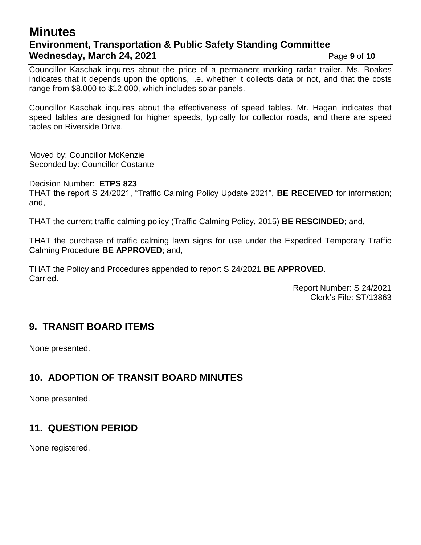# **Minutes Environment, Transportation & Public Safety Standing Committee Wednesday, March 24, 2021 Page 9** of 10

Councillor Kaschak inquires about the price of a permanent marking radar trailer. Ms. Boakes indicates that it depends upon the options, i.e. whether it collects data or not, and that the costs range from \$8,000 to \$12,000, which includes solar panels.

Councillor Kaschak inquires about the effectiveness of speed tables. Mr. Hagan indicates that speed tables are designed for higher speeds, typically for collector roads, and there are speed tables on Riverside Drive.

Moved by: Councillor McKenzie Seconded by: Councillor Costante

Decision Number: **ETPS 823** THAT the report S 24/2021, "Traffic Calming Policy Update 2021", **BE RECEIVED** for information; and,

THAT the current traffic calming policy (Traffic Calming Policy, 2015) **BE RESCINDED**; and,

THAT the purchase of traffic calming lawn signs for use under the Expedited Temporary Traffic Calming Procedure **BE APPROVED**; and,

THAT the Policy and Procedures appended to report S 24/2021 **BE APPROVED**. Carried.

> Report Number: S 24/2021 Clerk's File: ST/13863

### **9. TRANSIT BOARD ITEMS**

None presented.

# **10. ADOPTION OF TRANSIT BOARD MINUTES**

None presented.

# **11. QUESTION PERIOD**

None registered.